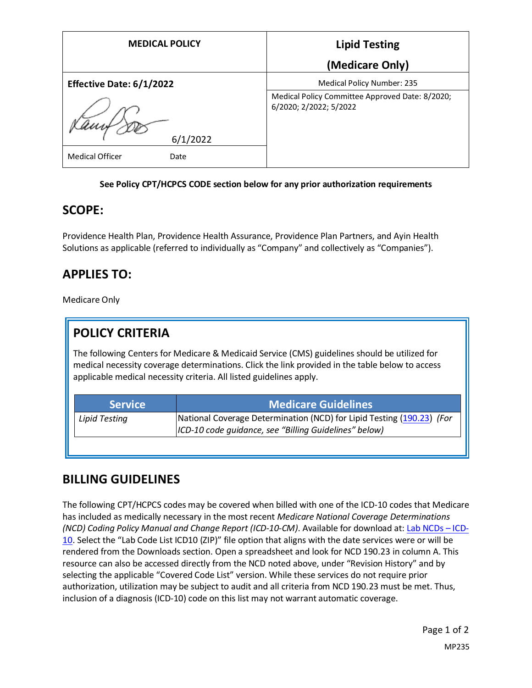| <b>MEDICAL POLICY</b>           | <b>Lipid Testing</b>                                                      |
|---------------------------------|---------------------------------------------------------------------------|
|                                 | (Medicare Only)                                                           |
| <b>Effective Date: 6/1/2022</b> | Medical Policy Number: 235                                                |
|                                 | Medical Policy Committee Approved Date: 8/2020;<br>6/2020; 2/2022; 5/2022 |
| 6/1/2022                        |                                                                           |
| <b>Medical Officer</b><br>Date  |                                                                           |

#### **See Policy CPT/HCPCS CODE section below for any prior authorization requirements**

#### **SCOPE:**

Providence Health Plan, Providence Health Assurance, Providence Plan Partners, and Ayin Health Solutions as applicable (referred to individually as "Company" and collectively as "Companies").

# **APPLIES TO:**

Medicare Only

# **POLICY CRITERIA**

The following Centers for Medicare & Medicaid Service (CMS) guidelines should be utilized for medical necessity coverage determinations. Click the link provided in the table below to access applicable medical necessity criteria. All listed guidelines apply.

| <b>Medicare Guidelines</b>                                                                                                      |
|---------------------------------------------------------------------------------------------------------------------------------|
| National Coverage Determination (NCD) for Lipid Testing (190.23) (For<br> ICD-10 code guidance, see "Billing Guidelines" below) |
|                                                                                                                                 |

### **BILLING GUIDELINES**

The following CPT/HCPCS codes may be covered when billed with one of the ICD-10 codes that Medicare has included as medically necessary in the most recent *Medicare National Coverage Determinations (NCD) Coding Policy Manual and Change Report (ICD-10-CM)*. Available for download at: [Lab NCDs](https://www.cms.gov/Medicare/Coverage/CoverageGenInfo/LabNCDsICD10) – ICD-[10](https://www.cms.gov/Medicare/Coverage/CoverageGenInfo/LabNCDsICD10). Select the "Lab Code List ICD10 (ZIP)" file option that aligns with the date services were or will be rendered from the Downloads section. Open a spreadsheet and look for NCD 190.23 in column A. This resource can also be accessed directly from the NCD noted above, under "Revision History" and by selecting the applicable "Covered Code List" version. While these services do not require prior authorization, utilization may be subject to audit and all criteria from NCD 190.23 must be met. Thus, inclusion of a diagnosis (ICD-10) code on this list may not warrant automatic coverage.